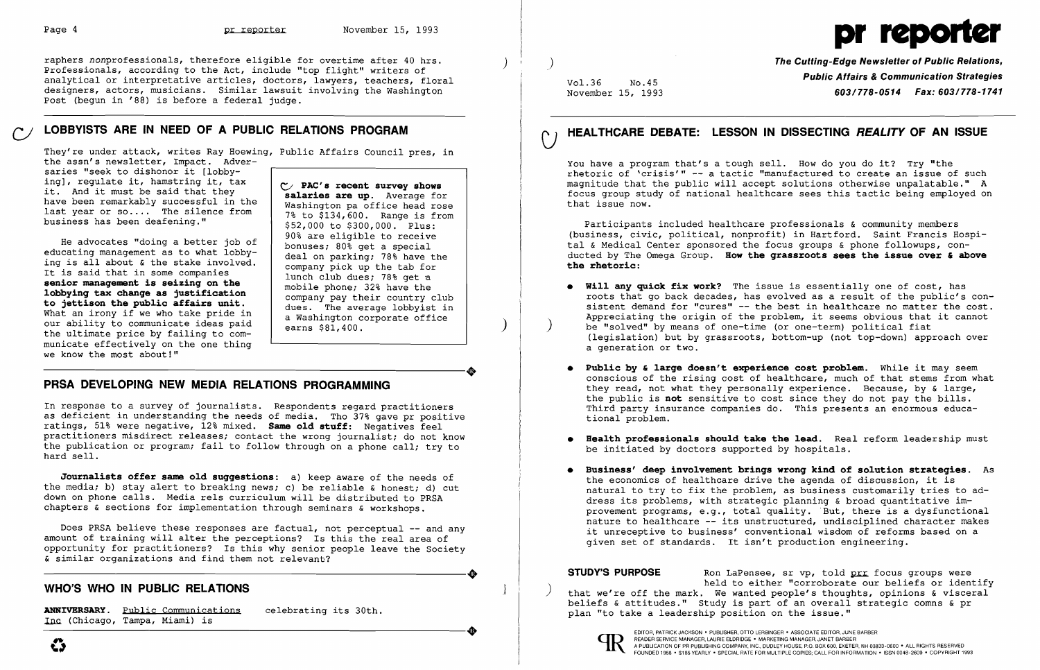raphers nonprofessionals, therefore eligible for overtime after 40 hrs. Professionals, according to the Act, include "top flight" writers of analytical or interpretative articles, doctors, lawyers, teachers, floral designers, actors, musicians. Similar lawsuit involving the Washington Post (begun in '88) is before a federal judge.

He advocates "doing a better job of educating management as to what lobbying is all about & the stake involved. It is said that in some companies **senior management is seizing on the lobbying tax change as justification to jettison the public affairs unit.**  What an irony if we who take pride in our ability to communicate ideas paid the ultimate price by failing to communicate effectively on the one thing we know the most about!" municate effectively on the one thing<br>we know the most about!"<br>DBCA DEVELOPING NEW MEDIA DELATIONS PROGRAMMING

# **LOBBYISTS ARE IN NEED OF A PUBLIC RELATIONS PROGRAM** *CJ*

They're under attack, writes Ray Hoewing, Public Affairs Council pres, in the assn's newsletter, Impact. Adversaries "seek to dishonor it [lobbying], regulate it, hamstring it, tax

it. And it must be said that they have been remarkably successful in the last year or  $so...$  The silence from business has been deafening."

**ANNIVERSARY.** Public Communications celebrating its 30th. (Chicago, Tampa, Miami) is ANNIVERSARY. <u>Public Communications</u> celebrating its 30th.<br>Inc (Chicago, Tampa, Miami) is

V **PAC's recent survey shows salaries are up.** Average for Washington pa office head rose 7% to \$134,600. Range is from \$52,000 to \$300,000. Plus: 90% are eligible to receive bonuses; 80% get a special deal on parking; 78% have the company pick up the tab for lunch club dues; 78% get a mobile phone; 32% have the company pay their country club dues. The average lobbyist in a Washington corporate office earns \$81,400.

)

 $\mathcal{L}$ 

## **PRSA DEVELOPING NEW MEDIA RELATIONS PROGRAMMING**

In response to a survey of journalists. Respondents regard practitioners as deficient in understanding the needs of media. Tho 37% gave pr positive ratings, 51% were negative, 12% mixed. **Same old stuff:** Negatives feel practitioners misdirect releases; contact the wrong journalist; do not know the publication or program; fail to follow through on a phone call; try to hard sell.

**Journalists offer same old suggestions:** a) keep aware of the needs of the media; b) stay alert to breaking news; c) be reliable & honest; d) cut down on phone calls. Media rels curriculum will be distributed to PRSA chapters & sections for implementation through seminars & workshops.

Does PRSA believe these responses are factual, not perceptual **--** and any amount of training will alter the perceptions? Is this the real area of opportunity for practitioners? Is this why senior people leave the Society ----------------------+ & similar organizations and find them not relevant?

## WHO'S WHO IN PUBLIC RELATIONS

- **•** Public by & large doesn't experience cost problem. While it may seem tional problem.
- be initiated by doctors supported by hospitals.
- given set of standards. It isn't production engineering.

**STUDY'S PURPOSE** Ron LaPensee, sr vp, told pre focus groups were<br>held to either "corroborate our beliefs or identify that we're off the mark. We wanted people's thoughts, opinions & visceral beliefs & attitudes." Study is part of an overall strategic comns & pr plan "to take a leadership position on the issue."



# Page 4 **pr reporter** November 15, 1993

) Vol.36 No.45 November 15, 1993 **The Cutting-Edge Newsletter of Public Relations, Public Affairs & Communication Strategies**  *603/778-0514 Fax: 603/778-1741*  **HEALTHCARE DEBATE: LESSON IN DISSECTING REALITY OF AN ISSUE**   $\bigcup$ You have a program that's a tough sell. How do you do it? Try "the rhetoric of 'crisis'" -- a tactic "manufactured to create an issue of such magnitude that the public will accept solutions otherwise unpalatable." A focus group study of national healthcare sees this tactic being employed on that issue now. Participants included healthcare professionals & community members (business, civic, political, nonprofit) in Hartford. Saint Francis Hospital & Medical Center sponsored the focus groups & phone followups, conducted by The Omega Group. **How the grassroots sees the issue over' above the rhetoric: • Will any quick fix work?** The issue is essentially one of cost, has roots that go back decades, has evolved as a result of the public's consistent demand for "cures" **--** the best in healthcare no matter the cost. Appreciating the origin of the problem, it seems obvious that it cannot be "solved" by means of one-time (or one-term) political fiat (legislation) but by grassroots, bottom-up (not top-down) approach over a generation or two.

> conscious of the rising cost of healthcare, much of that stems from what they read, not what they personally experience. Because, by & large, the public is **not** sensitive to cost since they do not pay the bills. Third party insurance companies do. This presents an enormous educa-

**• Health professionals should take the lead.** Real reform leadership must

**• Business' deep involvement brings wrong kind of solution strategies.** As the economics of healthcare drive the agenda of discussion, it is natural to try to fix the problem, as business customarily tries to address its problems, with strategic planning & broad quantitative improvement programs, e.g., total quality. 'But, there is a dysfunctional nature to healthcare **--** its unstructured, undisciplined character makes it unreceptive to business' conventional wisdom of reforms based on a